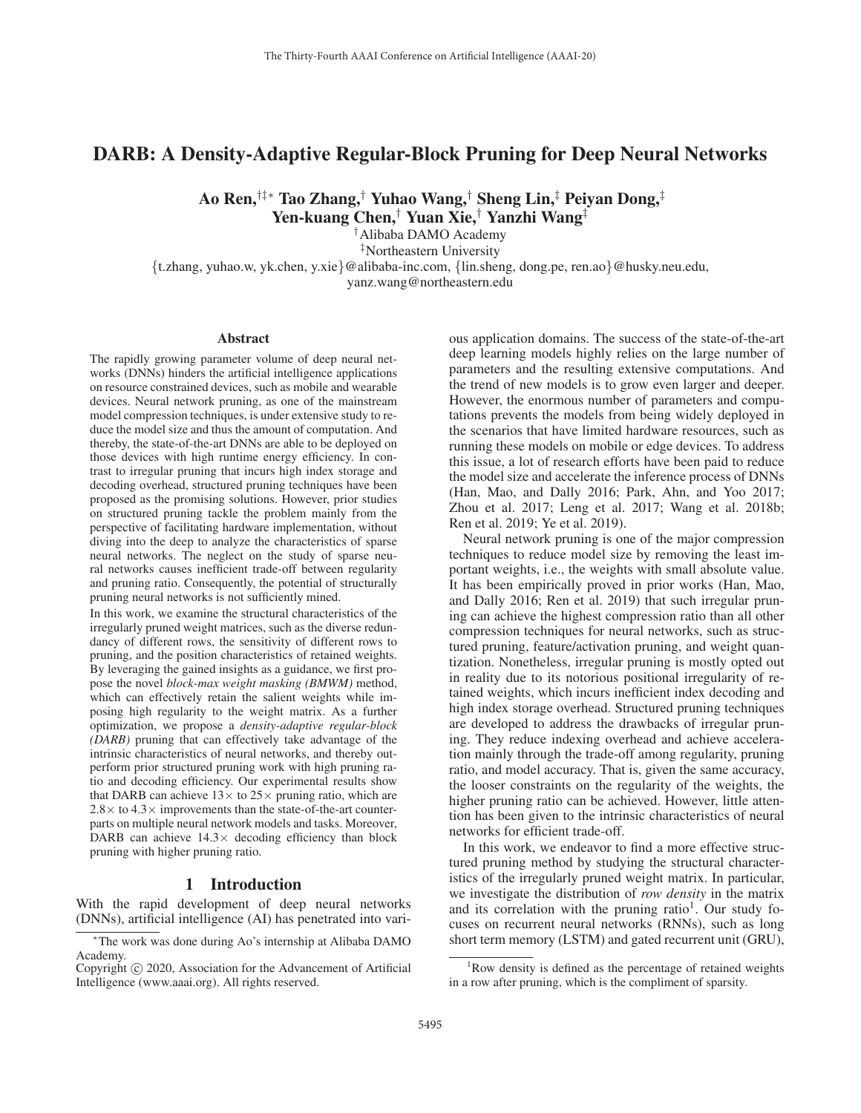# DARB: A Density-Adaptive Regular-Block Pruning for Deep Neural Networks

Ao Ren,†‡∗ Tao Zhang,† Yuhao Wang,† Sheng Lin,‡ Peiyan Dong,‡ Yen-kuang Chen,† Yuan Xie,† Yanzhi Wang‡

†Alibaba DAMO Academy

‡Northeastern University

{t.zhang, yuhao.w, yk.chen, y.xie}@alibaba-inc.com, {lin.sheng, dong.pe, ren.ao}@husky.neu.edu, yanz.wang@northeastern.edu

#### Abstract

The rapidly growing parameter volume of deep neural networks (DNNs) hinders the artificial intelligence applications on resource constrained devices, such as mobile and wearable devices. Neural network pruning, as one of the mainstream model compression techniques, is under extensive study to reduce the model size and thus the amount of computation. And thereby, the state-of-the-art DNNs are able to be deployed on those devices with high runtime energy efficiency. In contrast to irregular pruning that incurs high index storage and decoding overhead, structured pruning techniques have been proposed as the promising solutions. However, prior studies on structured pruning tackle the problem mainly from the perspective of facilitating hardware implementation, without diving into the deep to analyze the characteristics of sparse neural networks. The neglect on the study of sparse neural networks causes inefficient trade-off between regularity and pruning ratio. Consequently, the potential of structurally pruning neural networks is not sufficiently mined.

In this work, we examine the structural characteristics of the irregularly pruned weight matrices, such as the diverse redundancy of different rows, the sensitivity of different rows to pruning, and the position characteristics of retained weights. By leveraging the gained insights as a guidance, we first propose the novel *block-max weight masking (BMWM)* method, which can effectively retain the salient weights while imposing high regularity to the weight matrix. As a further optimization, we propose a *density-adaptive regular-block (DARB)* pruning that can effectively take advantage of the intrinsic characteristics of neural networks, and thereby outperform prior structured pruning work with high pruning ratio and decoding efficiency. Our experimental results show that DARB can achieve  $13 \times$  to  $25 \times$  pruning ratio, which are  $2.8\times$  to  $4.3\times$  improvements than the state-of-the-art counterparts on multiple neural network models and tasks. Moreover, DARB can achieve  $14.3\times$  decoding efficiency than block pruning with higher pruning ratio.

#### 1 Introduction

With the rapid development of deep neural networks (DNNs), artificial intelligence (AI) has penetrated into various application domains. The success of the state-of-the-art deep learning models highly relies on the large number of parameters and the resulting extensive computations. And the trend of new models is to grow even larger and deeper. However, the enormous number of parameters and computations prevents the models from being widely deployed in the scenarios that have limited hardware resources, such as running these models on mobile or edge devices. To address this issue, a lot of research efforts have been paid to reduce the model size and accelerate the inference process of DNNs (Han, Mao, and Dally 2016; Park, Ahn, and Yoo 2017; Zhou et al. 2017; Leng et al. 2017; Wang et al. 2018b; Ren et al. 2019; Ye et al. 2019).

Neural network pruning is one of the major compression techniques to reduce model size by removing the least important weights, i.e., the weights with small absolute value. It has been empirically proved in prior works (Han, Mao, and Dally 2016; Ren et al. 2019) that such irregular pruning can achieve the highest compression ratio than all other compression techniques for neural networks, such as structured pruning, feature/activation pruning, and weight quantization. Nonetheless, irregular pruning is mostly opted out in reality due to its notorious positional irregularity of retained weights, which incurs inefficient index decoding and high index storage overhead. Structured pruning techniques are developed to address the drawbacks of irregular pruning. They reduce indexing overhead and achieve acceleration mainly through the trade-off among regularity, pruning ratio, and model accuracy. That is, given the same accuracy, the looser constraints on the regularity of the weights, the higher pruning ratio can be achieved. However, little attention has been given to the intrinsic characteristics of neural networks for efficient trade-off.

In this work, we endeavor to find a more effective structured pruning method by studying the structural characteristics of the irregularly pruned weight matrix. In particular, we investigate the distribution of *row density* in the matrix and its correlation with the pruning ratio<sup>1</sup>. Our study focuses on recurrent neural networks (RNNs), such as long short term memory (LSTM) and gated recurrent unit (GRU),

<sup>∗</sup>The work was done during Ao's internship at Alibaba DAMO Academy.

Copyright  $\odot$  2020, Association for the Advancement of Artificial Intelligence (www.aaai.org). All rights reserved.

<sup>&</sup>lt;sup>1</sup>Row density is defined as the percentage of retained weights in a row after pruning, which is the compliment of sparsity.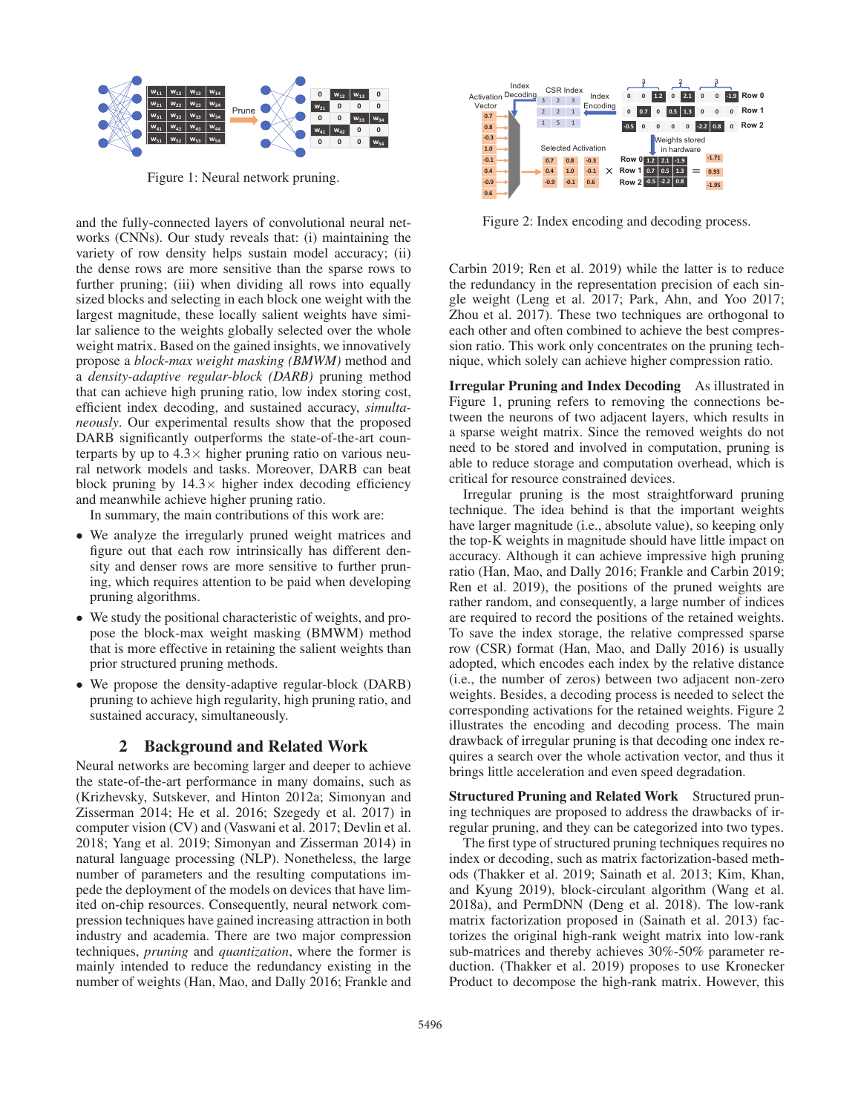

Figure 1: Neural network pruning.

and the fully-connected layers of convolutional neural networks (CNNs). Our study reveals that: (i) maintaining the variety of row density helps sustain model accuracy; (ii) the dense rows are more sensitive than the sparse rows to further pruning; (iii) when dividing all rows into equally sized blocks and selecting in each block one weight with the largest magnitude, these locally salient weights have similar salience to the weights globally selected over the whole weight matrix. Based on the gained insights, we innovatively propose a *block-max weight masking (BMWM)* method and a *density-adaptive regular-block (DARB)* pruning method that can achieve high pruning ratio, low index storing cost, efficient index decoding, and sustained accuracy, *simultaneously*. Our experimental results show that the proposed DARB significantly outperforms the state-of-the-art counterparts by up to  $4.3 \times$  higher pruning ratio on various neural network models and tasks. Moreover, DARB can beat block pruning by  $14.3 \times$  higher index decoding efficiency and meanwhile achieve higher pruning ratio.

In summary, the main contributions of this work are:

- We analyze the irregularly pruned weight matrices and figure out that each row intrinsically has different density and denser rows are more sensitive to further pruning, which requires attention to be paid when developing pruning algorithms.
- We study the positional characteristic of weights, and propose the block-max weight masking (BMWM) method that is more effective in retaining the salient weights than prior structured pruning methods.
- We propose the density-adaptive regular-block (DARB) pruning to achieve high regularity, high pruning ratio, and sustained accuracy, simultaneously.

### 2 Background and Related Work

Neural networks are becoming larger and deeper to achieve the state-of-the-art performance in many domains, such as (Krizhevsky, Sutskever, and Hinton 2012a; Simonyan and Zisserman 2014; He et al. 2016; Szegedy et al. 2017) in computer vision (CV) and (Vaswani et al. 2017; Devlin et al. 2018; Yang et al. 2019; Simonyan and Zisserman 2014) in natural language processing (NLP). Nonetheless, the large number of parameters and the resulting computations impede the deployment of the models on devices that have limited on-chip resources. Consequently, neural network compression techniques have gained increasing attraction in both industry and academia. There are two major compression techniques, *pruning* and *quantization*, where the former is mainly intended to reduce the redundancy existing in the number of weights (Han, Mao, and Dally 2016; Frankle and



Figure 2: Index encoding and decoding process.

Carbin 2019; Ren et al. 2019) while the latter is to reduce the redundancy in the representation precision of each single weight (Leng et al. 2017; Park, Ahn, and Yoo 2017; Zhou et al. 2017). These two techniques are orthogonal to each other and often combined to achieve the best compression ratio. This work only concentrates on the pruning technique, which solely can achieve higher compression ratio.

Irregular Pruning and Index Decoding As illustrated in Figure 1, pruning refers to removing the connections between the neurons of two adjacent layers, which results in a sparse weight matrix. Since the removed weights do not need to be stored and involved in computation, pruning is able to reduce storage and computation overhead, which is critical for resource constrained devices.

Irregular pruning is the most straightforward pruning technique. The idea behind is that the important weights have larger magnitude (i.e., absolute value), so keeping only the top-K weights in magnitude should have little impact on accuracy. Although it can achieve impressive high pruning ratio (Han, Mao, and Dally 2016; Frankle and Carbin 2019; Ren et al. 2019), the positions of the pruned weights are rather random, and consequently, a large number of indices are required to record the positions of the retained weights. To save the index storage, the relative compressed sparse row (CSR) format (Han, Mao, and Dally 2016) is usually adopted, which encodes each index by the relative distance (i.e., the number of zeros) between two adjacent non-zero weights. Besides, a decoding process is needed to select the corresponding activations for the retained weights. Figure 2 illustrates the encoding and decoding process. The main drawback of irregular pruning is that decoding one index requires a search over the whole activation vector, and thus it brings little acceleration and even speed degradation.

Structured Pruning and Related Work Structured pruning techniques are proposed to address the drawbacks of irregular pruning, and they can be categorized into two types.

The first type of structured pruning techniques requires no index or decoding, such as matrix factorization-based methods (Thakker et al. 2019; Sainath et al. 2013; Kim, Khan, and Kyung 2019), block-circulant algorithm (Wang et al. 2018a), and PermDNN (Deng et al. 2018). The low-rank matrix factorization proposed in (Sainath et al. 2013) factorizes the original high-rank weight matrix into low-rank sub-matrices and thereby achieves 30%-50% parameter reduction. (Thakker et al. 2019) proposes to use Kronecker Product to decompose the high-rank matrix. However, this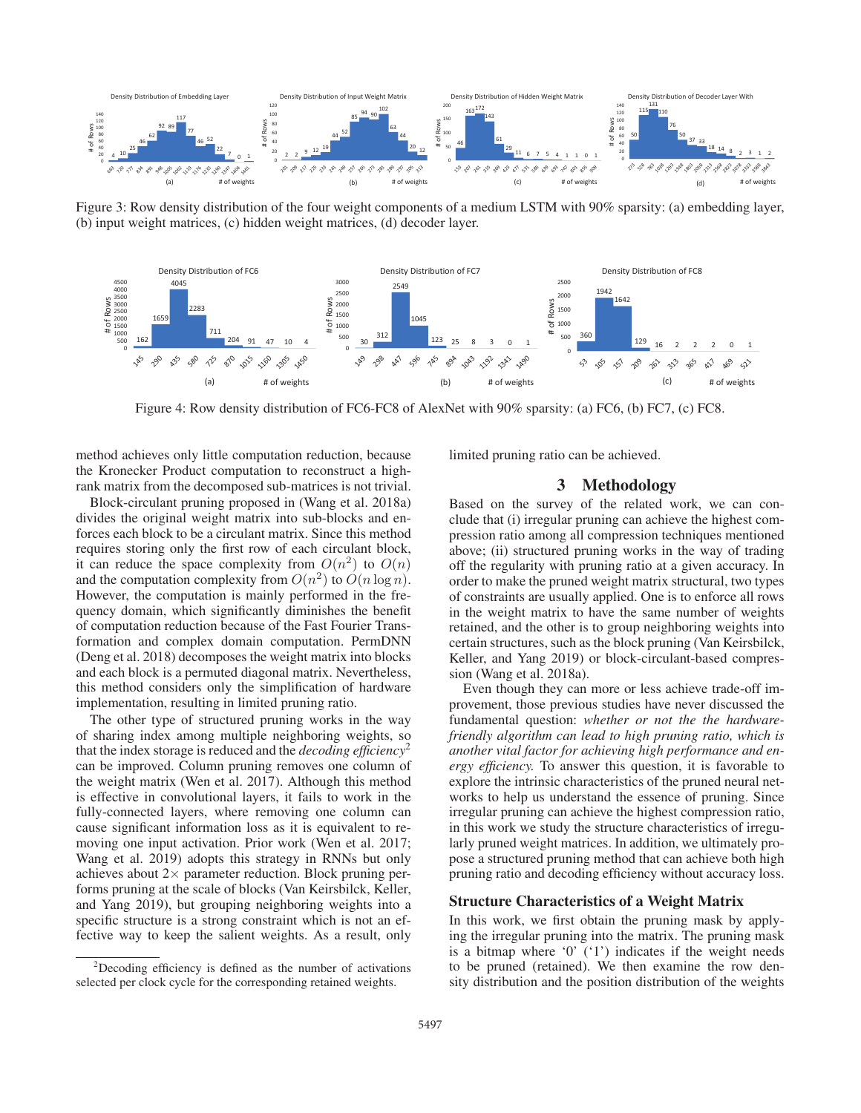

Figure 3: Row density distribution of the four weight components of a medium LSTM with 90% sparsity: (a) embedding layer, (b) input weight matrices, (c) hidden weight matrices, (d) decoder layer.



Figure 4: Row density distribution of FC6-FC8 of AlexNet with 90% sparsity: (a) FC6, (b) FC7, (c) FC8.

method achieves only little computation reduction, because the Kronecker Product computation to reconstruct a highrank matrix from the decomposed sub-matrices is not trivial.

Block-circulant pruning proposed in (Wang et al. 2018a) divides the original weight matrix into sub-blocks and enforces each block to be a circulant matrix. Since this method requires storing only the first row of each circulant block, it can reduce the space complexity from  $O(n^2)$  to  $O(n)$ and the computation complexity from  $O(n^2)$  to  $O(n \log n)$ . However, the computation is mainly performed in the frequency domain, which significantly diminishes the benefit of computation reduction because of the Fast Fourier Transformation and complex domain computation. PermDNN (Deng et al. 2018) decomposes the weight matrix into blocks and each block is a permuted diagonal matrix. Nevertheless, this method considers only the simplification of hardware implementation, resulting in limited pruning ratio.

The other type of structured pruning works in the way of sharing index among multiple neighboring weights, so that the index storage is reduced and the *decoding efficiency*<sup>2</sup> can be improved. Column pruning removes one column of the weight matrix (Wen et al. 2017). Although this method is effective in convolutional layers, it fails to work in the fully-connected layers, where removing one column can cause significant information loss as it is equivalent to removing one input activation. Prior work (Wen et al. 2017; Wang et al. 2019) adopts this strategy in RNNs but only achieves about  $2\times$  parameter reduction. Block pruning performs pruning at the scale of blocks (Van Keirsbilck, Keller, and Yang 2019), but grouping neighboring weights into a specific structure is a strong constraint which is not an effective way to keep the salient weights. As a result, only

limited pruning ratio can be achieved.

## 3 Methodology

Based on the survey of the related work, we can conclude that (i) irregular pruning can achieve the highest compression ratio among all compression techniques mentioned above; (ii) structured pruning works in the way of trading off the regularity with pruning ratio at a given accuracy. In order to make the pruned weight matrix structural, two types of constraints are usually applied. One is to enforce all rows in the weight matrix to have the same number of weights retained, and the other is to group neighboring weights into certain structures, such as the block pruning (Van Keirsbilck, Keller, and Yang 2019) or block-circulant-based compression (Wang et al. 2018a).

Even though they can more or less achieve trade-off improvement, those previous studies have never discussed the fundamental question: *whether or not the the hardwarefriendly algorithm can lead to high pruning ratio, which is another vital factor for achieving high performance and energy efficiency.* To answer this question, it is favorable to explore the intrinsic characteristics of the pruned neural networks to help us understand the essence of pruning. Since irregular pruning can achieve the highest compression ratio, in this work we study the structure characteristics of irregularly pruned weight matrices. In addition, we ultimately propose a structured pruning method that can achieve both high pruning ratio and decoding efficiency without accuracy loss.

## Structure Characteristics of a Weight Matrix

In this work, we first obtain the pruning mask by applying the irregular pruning into the matrix. The pruning mask is a bitmap where  $0'$   $(1')$  indicates if the weight needs to be pruned (retained). We then examine the row density distribution and the position distribution of the weights

<sup>&</sup>lt;sup>2</sup>Decoding efficiency is defined as the number of activations selected per clock cycle for the corresponding retained weights.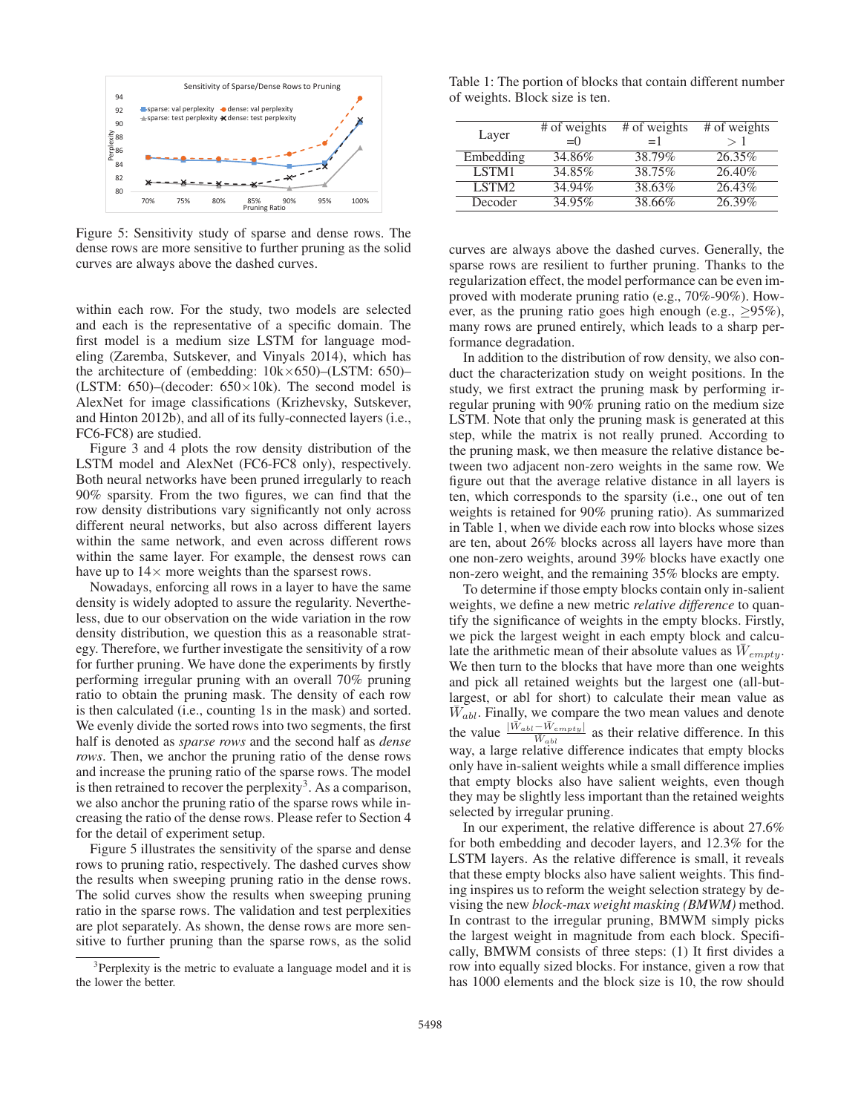

Figure 5: Sensitivity study of sparse and dense rows. The dense rows are more sensitive to further pruning as the solid curves are always above the dashed curves.

within each row. For the study, two models are selected and each is the representative of a specific domain. The first model is a medium size LSTM for language modeling (Zaremba, Sutskever, and Vinyals 2014), which has the architecture of (embedding: 10k×650)–(LSTM: 650)– (LSTM: 650)–(decoder:  $650 \times 10$ k). The second model is AlexNet for image classifications (Krizhevsky, Sutskever, and Hinton 2012b), and all of its fully-connected layers (i.e., FC6-FC8) are studied.

Figure 3 and 4 plots the row density distribution of the LSTM model and AlexNet (FC6-FC8 only), respectively. Both neural networks have been pruned irregularly to reach 90% sparsity. From the two figures, we can find that the row density distributions vary significantly not only across different neural networks, but also across different layers within the same network, and even across different rows within the same layer. For example, the densest rows can have up to  $14\times$  more weights than the sparsest rows.

Nowadays, enforcing all rows in a layer to have the same density is widely adopted to assure the regularity. Nevertheless, due to our observation on the wide variation in the row density distribution, we question this as a reasonable strategy. Therefore, we further investigate the sensitivity of a row for further pruning. We have done the experiments by firstly performing irregular pruning with an overall 70% pruning ratio to obtain the pruning mask. The density of each row is then calculated (i.e., counting 1s in the mask) and sorted. We evenly divide the sorted rows into two segments, the first half is denoted as *sparse rows* and the second half as *dense rows*. Then, we anchor the pruning ratio of the dense rows and increase the pruning ratio of the sparse rows. The model is then retrained to recover the perplexity<sup>3</sup>. As a comparison, we also anchor the pruning ratio of the sparse rows while increasing the ratio of the dense rows. Please refer to Section 4 for the detail of experiment setup.

Figure 5 illustrates the sensitivity of the sparse and dense rows to pruning ratio, respectively. The dashed curves show the results when sweeping pruning ratio in the dense rows. The solid curves show the results when sweeping pruning ratio in the sparse rows. The validation and test perplexities are plot separately. As shown, the dense rows are more sensitive to further pruning than the sparse rows, as the solid

Table 1: The portion of blocks that contain different number of weights. Block size is ten.

| Layer             | # of weights<br>$= 0$ | # of weights<br>$=1$ | # of weights<br>>1 |
|-------------------|-----------------------|----------------------|--------------------|
| Embedding         | 34.86%                | 38.79%               | 26.35%             |
| LSTM1             | 34.85%                | 38.75%               | 26.40%             |
| LSTM <sub>2</sub> | 34.94%                | 38.63%               | 26.43%             |
| Decoder           | 34.95%                | $38.66\%$            | 26.39%             |

curves are always above the dashed curves. Generally, the sparse rows are resilient to further pruning. Thanks to the regularization effect, the model performance can be even improved with moderate pruning ratio (e.g., 70%-90%). However, as the pruning ratio goes high enough (e.g.,  $>95\%$ ), many rows are pruned entirely, which leads to a sharp performance degradation.

In addition to the distribution of row density, we also conduct the characterization study on weight positions. In the study, we first extract the pruning mask by performing irregular pruning with 90% pruning ratio on the medium size LSTM. Note that only the pruning mask is generated at this step, while the matrix is not really pruned. According to the pruning mask, we then measure the relative distance between two adjacent non-zero weights in the same row. We figure out that the average relative distance in all layers is ten, which corresponds to the sparsity (i.e., one out of ten weights is retained for 90% pruning ratio). As summarized in Table 1, when we divide each row into blocks whose sizes are ten, about 26% blocks across all layers have more than one non-zero weights, around 39% blocks have exactly one non-zero weight, and the remaining 35% blocks are empty.

To determine if those empty blocks contain only in-salient weights, we define a new metric *relative difference* to quantify the significance of weights in the empty blocks. Firstly, we pick the largest weight in each empty block and calculate the arithmetic mean of their absolute values as  $W_{empty}$ . We then turn to the blocks that have more than one weights and pick all retained weights but the largest one (all-butlargest, or abl for short) to calculate their mean value as  $W_{abl}$ . Finally, we compare the two mean values and denote the value  $\frac{|\vec{W}_{abl} - \vec{W}_{empty}|}{|\vec{W}_{abl}|}$  as their relative difference. In this way, a large relative difference indicates that empty blocks only have in-salient weights while a small difference implies that empty blocks also have salient weights, even though they may be slightly less important than the retained weights selected by irregular pruning.

In our experiment, the relative difference is about 27.6% for both embedding and decoder layers, and 12.3% for the LSTM layers. As the relative difference is small, it reveals that these empty blocks also have salient weights. This finding inspires us to reform the weight selection strategy by devising the new *block-max weight masking (BMWM)* method. In contrast to the irregular pruning, BMWM simply picks the largest weight in magnitude from each block. Specifically, BMWM consists of three steps: (1) It first divides a row into equally sized blocks. For instance, given a row that has 1000 elements and the block size is 10, the row should

<sup>&</sup>lt;sup>3</sup>Perplexity is the metric to evaluate a language model and it is the lower the better.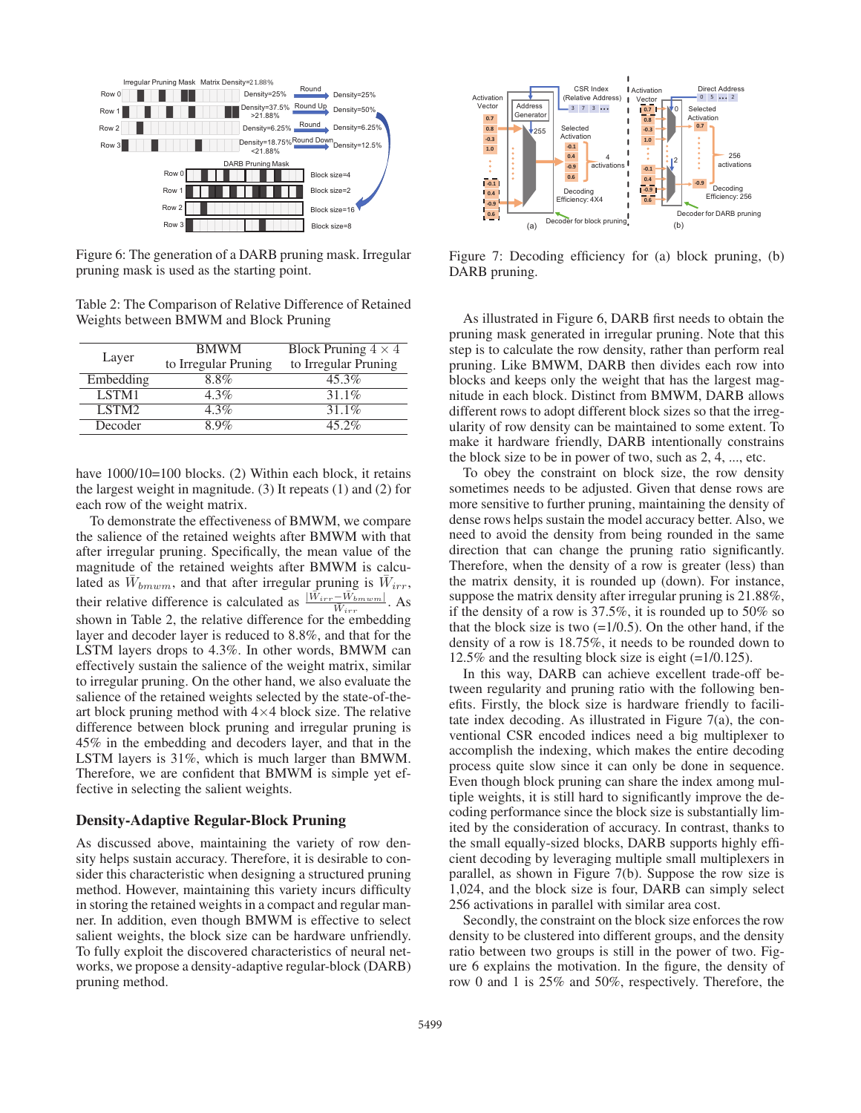

Figure 6: The generation of a DARB pruning mask. Irregular pruning mask is used as the starting point.

Table 2: The Comparison of Relative Difference of Retained Weights between BMWM and Block Pruning

| Layer             | <b>BMWM</b><br>to Irregular Pruning | Block Pruning $4 \times 4$<br>to Irregular Pruning |
|-------------------|-------------------------------------|----------------------------------------------------|
| Embedding         | 8.8%                                | $45.3\%$                                           |
| LSTM1             | 4.3%                                | $31.1\%$                                           |
| LSTM <sub>2</sub> | $4.3\%$                             | $31.1\%$                                           |
| Decoder           | 8.9%                                | $45.2\%$                                           |

have  $1000/10=100$  blocks. (2) Within each block, it retains the largest weight in magnitude. (3) It repeats (1) and (2) for each row of the weight matrix.

To demonstrate the effectiveness of BMWM, we compare the salience of the retained weights after BMWM with that after irregular pruning. Specifically, the mean value of the magnitude of the retained weights after BMWM is calculated as  $\bar{W}_{b m w m}$ , and that after irregular pruning is  $\bar{W}_{irr}$ , their relative difference is calculated as  $\frac{|\vec{W}_{irr} - \vec{W}_{bmwm}|}{\vec{W}_{irr}}$ . As shown in Table 2, the relative difference for the embedding layer and decoder layer is reduced to 8.8%, and that for the LSTM layers drops to 4.3%. In other words, BMWM can effectively sustain the salience of the weight matrix, similar to irregular pruning. On the other hand, we also evaluate the salience of the retained weights selected by the state-of-theart block pruning method with  $4\times4$  block size. The relative difference between block pruning and irregular pruning is 45% in the embedding and decoders layer, and that in the LSTM layers is 31%, which is much larger than BMWM. Therefore, we are confident that BMWM is simple yet effective in selecting the salient weights.

#### Density-Adaptive Regular-Block Pruning

As discussed above, maintaining the variety of row density helps sustain accuracy. Therefore, it is desirable to consider this characteristic when designing a structured pruning method. However, maintaining this variety incurs difficulty in storing the retained weights in a compact and regular manner. In addition, even though BMWM is effective to select salient weights, the block size can be hardware unfriendly. To fully exploit the discovered characteristics of neural networks, we propose a density-adaptive regular-block (DARB) pruning method.



Figure 7: Decoding efficiency for (a) block pruning, (b) DARB pruning.

As illustrated in Figure 6, DARB first needs to obtain the pruning mask generated in irregular pruning. Note that this step is to calculate the row density, rather than perform real pruning. Like BMWM, DARB then divides each row into blocks and keeps only the weight that has the largest magnitude in each block. Distinct from BMWM, DARB allows different rows to adopt different block sizes so that the irregularity of row density can be maintained to some extent. To make it hardware friendly, DARB intentionally constrains the block size to be in power of two, such as 2, 4, ..., etc.

To obey the constraint on block size, the row density sometimes needs to be adjusted. Given that dense rows are more sensitive to further pruning, maintaining the density of dense rows helps sustain the model accuracy better. Also, we need to avoid the density from being rounded in the same direction that can change the pruning ratio significantly. Therefore, when the density of a row is greater (less) than the matrix density, it is rounded up (down). For instance, suppose the matrix density after irregular pruning is 21.88%, if the density of a row is 37.5%, it is rounded up to 50% so that the block size is two  $(=1/0.5)$ . On the other hand, if the density of a row is 18.75%, it needs to be rounded down to 12.5% and the resulting block size is eight (=1/0.125).

In this way, DARB can achieve excellent trade-off between regularity and pruning ratio with the following benefits. Firstly, the block size is hardware friendly to facilitate index decoding. As illustrated in Figure 7(a), the conventional CSR encoded indices need a big multiplexer to accomplish the indexing, which makes the entire decoding process quite slow since it can only be done in sequence. Even though block pruning can share the index among multiple weights, it is still hard to significantly improve the decoding performance since the block size is substantially limited by the consideration of accuracy. In contrast, thanks to the small equally-sized blocks, DARB supports highly efficient decoding by leveraging multiple small multiplexers in parallel, as shown in Figure 7(b). Suppose the row size is 1,024, and the block size is four, DARB can simply select 256 activations in parallel with similar area cost.

Secondly, the constraint on the block size enforces the row density to be clustered into different groups, and the density ratio between two groups is still in the power of two. Figure 6 explains the motivation. In the figure, the density of row 0 and 1 is 25% and 50%, respectively. Therefore, the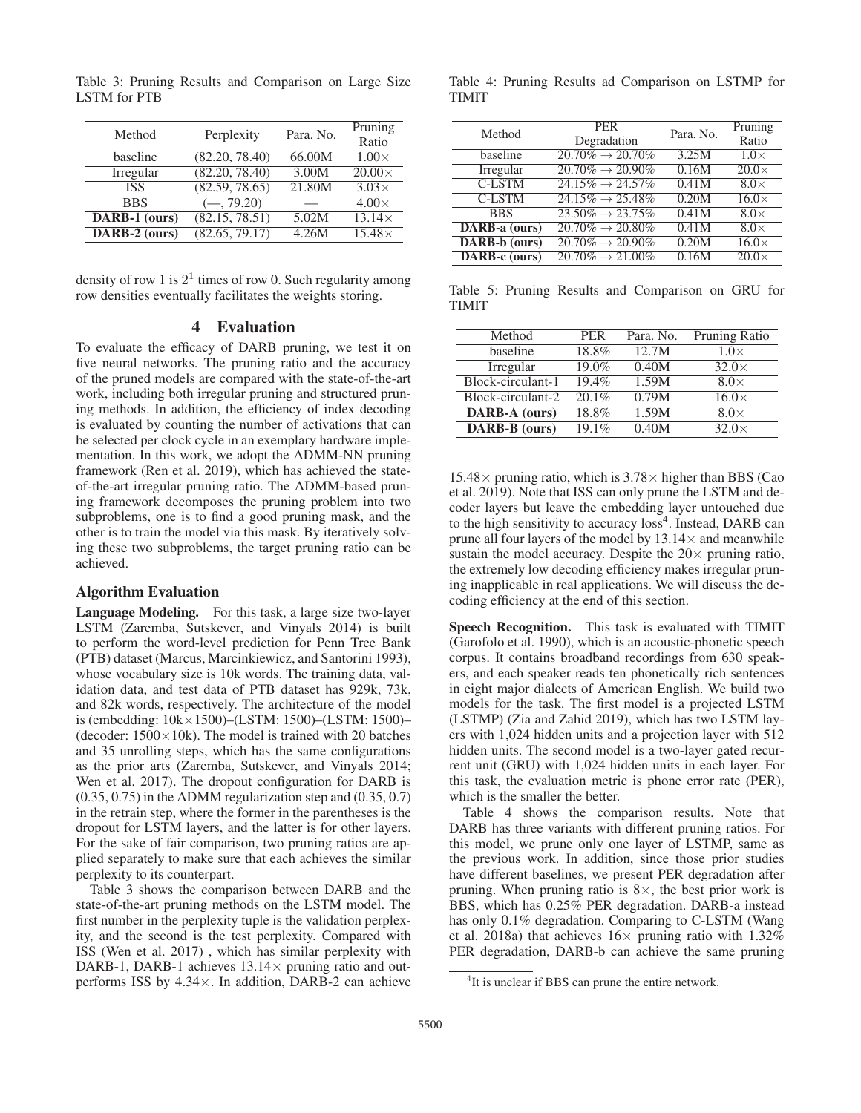| Method        | Perplexity     | Para. No. | Pruning<br>Ratio |
|---------------|----------------|-----------|------------------|
| baseline      | (82.20, 78.40) | 66.00M    | $1.00\times$     |
| Irregular     | (82.20, 78.40) | 3.00M     | $20.00\times$    |
| <b>ISS</b>    | (82.59, 78.65) | 21.80M    | $3.03\times$     |
| <b>BBS</b>    | $(-, 79.20)$   |           | $4.00\times$     |
| DARB-1 (ours) | (82.15, 78.51) | 5.02M     | $13.14\times$    |
| DARB-2 (ours) | (82.65, 79.17) | 4.26M     | $15.48\times$    |

Table 3: Pruning Results and Comparison on Large Size LSTM for PTB

density of row 1 is  $2<sup>1</sup>$  times of row 0. Such regularity among row densities eventually facilitates the weights storing.

## 4 Evaluation

To evaluate the efficacy of DARB pruning, we test it on five neural networks. The pruning ratio and the accuracy of the pruned models are compared with the state-of-the-art work, including both irregular pruning and structured pruning methods. In addition, the efficiency of index decoding is evaluated by counting the number of activations that can be selected per clock cycle in an exemplary hardware implementation. In this work, we adopt the ADMM-NN pruning framework (Ren et al. 2019), which has achieved the stateof-the-art irregular pruning ratio. The ADMM-based pruning framework decomposes the pruning problem into two subproblems, one is to find a good pruning mask, and the other is to train the model via this mask. By iteratively solving these two subproblems, the target pruning ratio can be achieved.

#### Algorithm Evaluation

Language Modeling. For this task, a large size two-layer LSTM (Zaremba, Sutskever, and Vinyals 2014) is built to perform the word-level prediction for Penn Tree Bank (PTB) dataset (Marcus, Marcinkiewicz, and Santorini 1993), whose vocabulary size is 10k words. The training data, validation data, and test data of PTB dataset has 929k, 73k, and 82k words, respectively. The architecture of the model is (embedding: 10k×1500)–(LSTM: 1500)–(LSTM: 1500)– (decoder:  $1500 \times 10$ k). The model is trained with 20 batches and 35 unrolling steps, which has the same configurations as the prior arts (Zaremba, Sutskever, and Vinyals 2014; Wen et al. 2017). The dropout configuration for DARB is  $(0.35, 0.75)$  in the ADMM regularization step and  $(0.35, 0.7)$ in the retrain step, where the former in the parentheses is the dropout for LSTM layers, and the latter is for other layers. For the sake of fair comparison, two pruning ratios are applied separately to make sure that each achieves the similar perplexity to its counterpart.

Table 3 shows the comparison between DARB and the state-of-the-art pruning methods on the LSTM model. The first number in the perplexity tuple is the validation perplexity, and the second is the test perplexity. Compared with ISS (Wen et al. 2017) , which has similar perplexity with DARB-1, DARB-1 achieves  $13.14\times$  pruning ratio and outperforms ISS by 4.34×. In addition, DARB-2 can achieve

Table 4: Pruning Results ad Comparison on LSTMP for TIMIT

| Method        | <b>PER</b><br>Degradation                | Para. No. | Pruning<br>Ratio        |
|---------------|------------------------------------------|-----------|-------------------------|
| baseline      | $20.70\% \rightarrow 20.70\%$            | 3.25M     | $1.0\times$             |
| Irregular     | $20.70\% \rightarrow 20.90\%$            | 0.16M     | $20.0\times$            |
| <b>C-LSTM</b> | $24.15\% \rightarrow 24.57\%$            | 0.41M     | $8.0\times$             |
| <b>C-LSTM</b> | $24.15\% \rightarrow 25.48\%$            | 0.20M     | $\overline{16.0\times}$ |
| <b>BBS</b>    | $23.50\% \rightarrow 23.75\%$            | 0.41M     | $8.0\times$             |
| DARB-a (ours) | $\sqrt{20.70\%} \rightarrow 20.80\%$     | 0.41M     | $8.0\times$             |
| DARB-b (ours) | $20.70\% \rightarrow 20.90\%$            | 0.20M     | $16.0\times$            |
| DARB-c (ours) | $\overline{20.70\%} \rightarrow 21.00\%$ | 0.16M     | $\overline{20.0\times}$ |

Table 5: Pruning Results and Comparison on GRU for TIMIT

| Method               | <b>PER</b> | Para. No. | <b>Pruning Ratio</b> |
|----------------------|------------|-----------|----------------------|
| baseline             | 18.8%      | 12.7M     | $1.0\times$          |
| Irregular            | 19.0%      | 0.40M     | $32.0\times$         |
| Block-circulant-1    | 19.4%      | 1.59M     | $8.0\times$          |
| Block-circulant-2    | $20.1\%$   | 0.79M     | $16.0\times$         |
| <b>DARB-A</b> (ours) | 18.8%      | 1.59M     | $8.0\times$          |
| <b>DARB-B</b> (ours) | 19.1%      | 0.40M     | $32.0\times$         |

 $15.48\times$  pruning ratio, which is  $3.78\times$  higher than BBS (Cao et al. 2019). Note that ISS can only prune the LSTM and decoder layers but leave the embedding layer untouched due to the high sensitivity to accuracy loss<sup>4</sup>. Instead, DARB can prune all four layers of the model by  $13.14\times$  and meanwhile sustain the model accuracy. Despite the  $20\times$  pruning ratio, the extremely low decoding efficiency makes irregular pruning inapplicable in real applications. We will discuss the decoding efficiency at the end of this section.

Speech Recognition. This task is evaluated with TIMIT (Garofolo et al. 1990), which is an acoustic-phonetic speech corpus. It contains broadband recordings from 630 speakers, and each speaker reads ten phonetically rich sentences in eight major dialects of American English. We build two models for the task. The first model is a projected LSTM (LSTMP) (Zia and Zahid 2019), which has two LSTM layers with 1,024 hidden units and a projection layer with 512 hidden units. The second model is a two-layer gated recurrent unit (GRU) with 1,024 hidden units in each layer. For this task, the evaluation metric is phone error rate (PER), which is the smaller the better.

Table 4 shows the comparison results. Note that DARB has three variants with different pruning ratios. For this model, we prune only one layer of LSTMP, same as the previous work. In addition, since those prior studies have different baselines, we present PER degradation after pruning. When pruning ratio is  $8\times$ , the best prior work is BBS, which has 0.25% PER degradation. DARB-a instead has only 0.1% degradation. Comparing to C-LSTM (Wang et al. 2018a) that achieves  $16\times$  pruning ratio with 1.32% PER degradation, DARB-b can achieve the same pruning

<sup>&</sup>lt;sup>4</sup>It is unclear if BBS can prune the entire network.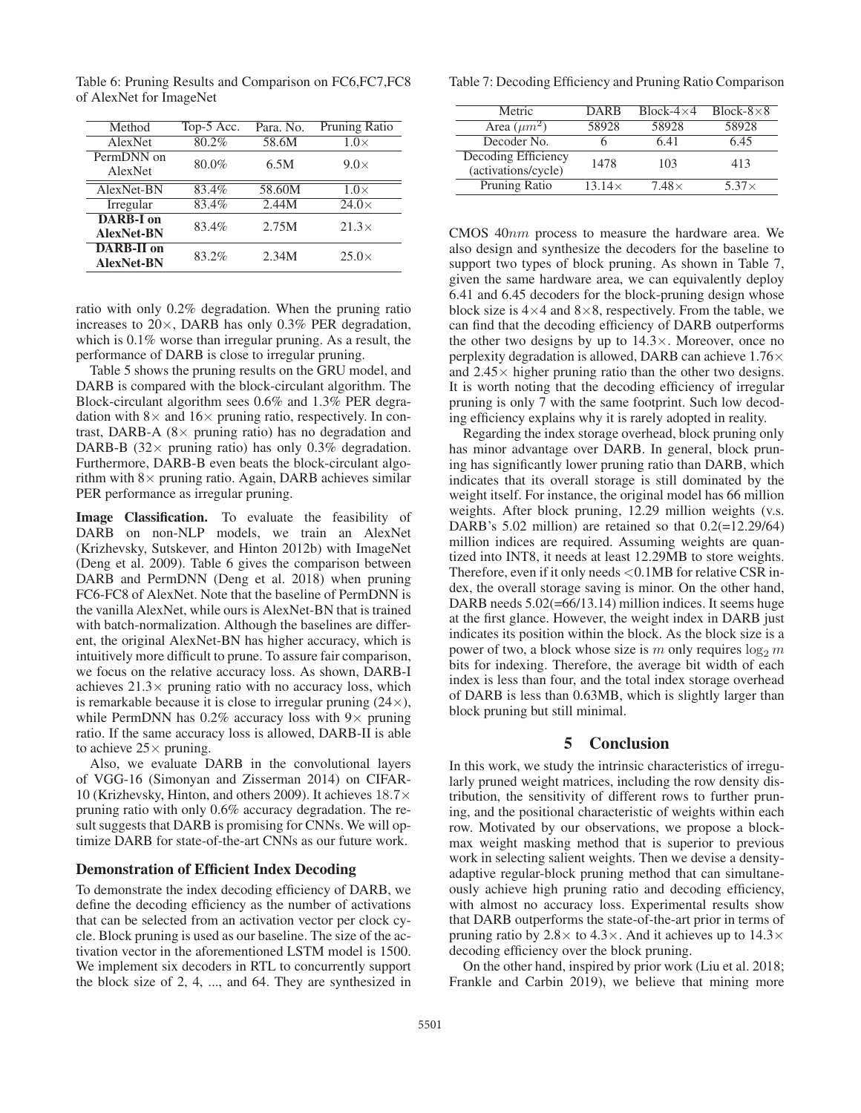| Method                                 | Top-5 Acc. | Para. No. | Pruning Ratio |
|----------------------------------------|------------|-----------|---------------|
| AlexNet                                | 80.2%      | 58.6M     | $1.0\times$   |
| PermDNN on<br>AlexNet                  | 80.0%      | 6.5M      | $9.0\times$   |
| AlexNet-BN                             | $83.4\%$   | 58.60M    | $1.0\times$   |
| Irregular                              | $83.4\%$   | 2.44M     | $24.0\times$  |
| <b>DARB-I</b> on<br><b>AlexNet-BN</b>  | 83.4%      | 2.75M     | $21.3\times$  |
| <b>DARB-II</b> on<br><b>AlexNet-BN</b> | 83.2%      | 2.34M     | $25.0\times$  |

Table 6: Pruning Results and Comparison on FC6,FC7,FC8 of AlexNet for ImageNet

ratio with only 0.2% degradation. When the pruning ratio increases to 20×, DARB has only 0.3% PER degradation, which is 0.1% worse than irregular pruning. As a result, the performance of DARB is close to irregular pruning.

Table 5 shows the pruning results on the GRU model, and DARB is compared with the block-circulant algorithm. The Block-circulant algorithm sees 0.6% and 1.3% PER degradation with  $8\times$  and  $16\times$  pruning ratio, respectively. In contrast, DARB-A ( $8 \times$  pruning ratio) has no degradation and DARB-B (32 $\times$  pruning ratio) has only 0.3% degradation. Furthermore, DARB-B even beats the block-circulant algorithm with  $8\times$  pruning ratio. Again, DARB achieves similar PER performance as irregular pruning.

Image Classification. To evaluate the feasibility of DARB on non-NLP models, we train an AlexNet (Krizhevsky, Sutskever, and Hinton 2012b) with ImageNet (Deng et al. 2009). Table 6 gives the comparison between DARB and PermDNN (Deng et al. 2018) when pruning FC6-FC8 of AlexNet. Note that the baseline of PermDNN is the vanilla AlexNet, while ours is AlexNet-BN that is trained with batch-normalization. Although the baselines are different, the original AlexNet-BN has higher accuracy, which is intuitively more difficult to prune. To assure fair comparison, we focus on the relative accuracy loss. As shown, DARB-I achieves  $21.3\times$  pruning ratio with no accuracy loss, which is remarkable because it is close to irregular pruning  $(24\times)$ , while PermDNN has  $0.2\%$  accuracy loss with  $9\times$  pruning ratio. If the same accuracy loss is allowed, DARB-II is able to achieve  $25 \times$  pruning.

Also, we evaluate DARB in the convolutional layers of VGG-16 (Simonyan and Zisserman 2014) on CIFAR-10 (Krizhevsky, Hinton, and others 2009). It achieves 18.7<sup>×</sup> pruning ratio with only 0.6% accuracy degradation. The result suggests that DARB is promising for CNNs. We will optimize DARB for state-of-the-art CNNs as our future work.

#### Demonstration of Efficient Index Decoding

To demonstrate the index decoding efficiency of DARB, we define the decoding efficiency as the number of activations that can be selected from an activation vector per clock cycle. Block pruning is used as our baseline. The size of the activation vector in the aforementioned LSTM model is 1500. We implement six decoders in RTL to concurrently support the block size of 2, 4, ..., and 64. They are synthesized in

Table 7: Decoding Efficiency and Pruning Ratio Comparison

| Metric                                     | <b>DARB</b>   | $Block-4\times4$ | Block- $8\times8$ |
|--------------------------------------------|---------------|------------------|-------------------|
| Area $(\mu m^2)$                           | 58928         | 58928            | 58928             |
| Decoder No.                                |               | 6.41             | 6.45              |
| Decoding Efficiency<br>(activations/cycle) | 1478          | 103              | 413               |
| Pruning Ratio                              | $13.14\times$ | $7.48\times$     | $5.37\times$      |

CMOS 40nm process to measure the hardware area. We also design and synthesize the decoders for the baseline to support two types of block pruning. As shown in Table 7, given the same hardware area, we can equivalently deploy 6.41 and 6.45 decoders for the block-pruning design whose block size is  $4\times4$  and  $8\times8$ , respectively. From the table, we can find that the decoding efficiency of DARB outperforms the other two designs by up to  $14.3\times$ . Moreover, once no perplexity degradation is allowed, DARB can achieve 1.76× and  $2.45\times$  higher pruning ratio than the other two designs. It is worth noting that the decoding efficiency of irregular pruning is only 7 with the same footprint. Such low decoding efficiency explains why it is rarely adopted in reality.

Regarding the index storage overhead, block pruning only has minor advantage over DARB. In general, block pruning has significantly lower pruning ratio than DARB, which indicates that its overall storage is still dominated by the weight itself. For instance, the original model has 66 million weights. After block pruning, 12.29 million weights (v.s. DARB's  $5.02$  million) are retained so that  $0.2(=12.29/64)$ million indices are required. Assuming weights are quantized into INT8, it needs at least 12.29MB to store weights. Therefore, even if it only needs <0.1MB for relative CSR index, the overall storage saving is minor. On the other hand, DARB needs  $5.02(=66/13.14)$  million indices. It seems huge at the first glance. However, the weight index in DARB just indicates its position within the block. As the block size is a power of two, a block whose size is m only requires  $\log_2 m$ bits for indexing. Therefore, the average bit width of each index is less than four, and the total index storage overhead of DARB is less than 0.63MB, which is slightly larger than block pruning but still minimal.

## 5 Conclusion

In this work, we study the intrinsic characteristics of irregularly pruned weight matrices, including the row density distribution, the sensitivity of different rows to further pruning, and the positional characteristic of weights within each row. Motivated by our observations, we propose a blockmax weight masking method that is superior to previous work in selecting salient weights. Then we devise a densityadaptive regular-block pruning method that can simultaneously achieve high pruning ratio and decoding efficiency, with almost no accuracy loss. Experimental results show that DARB outperforms the state-of-the-art prior in terms of pruning ratio by 2.8 $\times$  to 4.3 $\times$ . And it achieves up to 14.3 $\times$ decoding efficiency over the block pruning.

On the other hand, inspired by prior work (Liu et al. 2018; Frankle and Carbin 2019), we believe that mining more